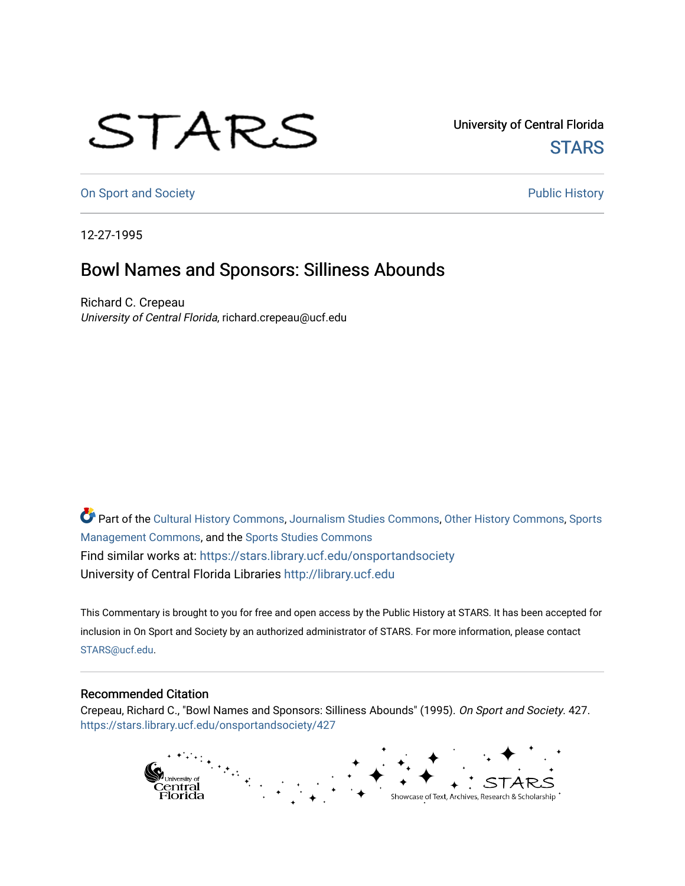## STARS

University of Central Florida **STARS** 

[On Sport and Society](https://stars.library.ucf.edu/onsportandsociety) **Public History** Public History

12-27-1995

## Bowl Names and Sponsors: Silliness Abounds

Richard C. Crepeau University of Central Florida, richard.crepeau@ucf.edu

Part of the [Cultural History Commons](http://network.bepress.com/hgg/discipline/496?utm_source=stars.library.ucf.edu%2Fonsportandsociety%2F427&utm_medium=PDF&utm_campaign=PDFCoverPages), [Journalism Studies Commons,](http://network.bepress.com/hgg/discipline/333?utm_source=stars.library.ucf.edu%2Fonsportandsociety%2F427&utm_medium=PDF&utm_campaign=PDFCoverPages) [Other History Commons,](http://network.bepress.com/hgg/discipline/508?utm_source=stars.library.ucf.edu%2Fonsportandsociety%2F427&utm_medium=PDF&utm_campaign=PDFCoverPages) [Sports](http://network.bepress.com/hgg/discipline/1193?utm_source=stars.library.ucf.edu%2Fonsportandsociety%2F427&utm_medium=PDF&utm_campaign=PDFCoverPages) [Management Commons](http://network.bepress.com/hgg/discipline/1193?utm_source=stars.library.ucf.edu%2Fonsportandsociety%2F427&utm_medium=PDF&utm_campaign=PDFCoverPages), and the [Sports Studies Commons](http://network.bepress.com/hgg/discipline/1198?utm_source=stars.library.ucf.edu%2Fonsportandsociety%2F427&utm_medium=PDF&utm_campaign=PDFCoverPages) Find similar works at: <https://stars.library.ucf.edu/onsportandsociety> University of Central Florida Libraries [http://library.ucf.edu](http://library.ucf.edu/) 

This Commentary is brought to you for free and open access by the Public History at STARS. It has been accepted for inclusion in On Sport and Society by an authorized administrator of STARS. For more information, please contact [STARS@ucf.edu](mailto:STARS@ucf.edu).

## Recommended Citation

Crepeau, Richard C., "Bowl Names and Sponsors: Silliness Abounds" (1995). On Sport and Society. 427. [https://stars.library.ucf.edu/onsportandsociety/427](https://stars.library.ucf.edu/onsportandsociety/427?utm_source=stars.library.ucf.edu%2Fonsportandsociety%2F427&utm_medium=PDF&utm_campaign=PDFCoverPages)

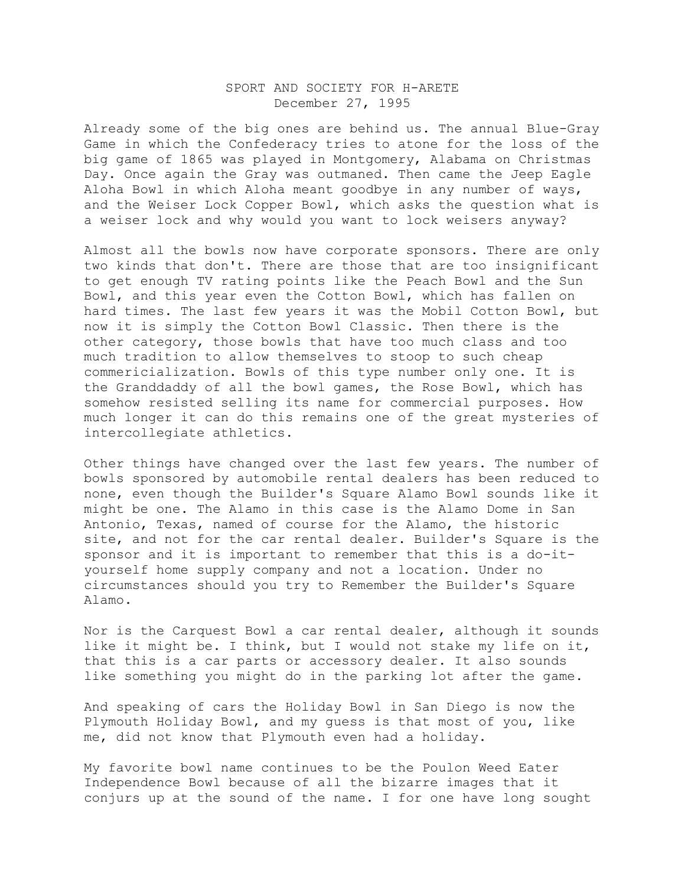## SPORT AND SOCIETY FOR H-ARETE December 27, 1995

Already some of the big ones are behind us. The annual Blue-Gray Game in which the Confederacy tries to atone for the loss of the big game of 1865 was played in Montgomery, Alabama on Christmas Day. Once again the Gray was outmaned. Then came the Jeep Eagle Aloha Bowl in which Aloha meant goodbye in any number of ways, and the Weiser Lock Copper Bowl, which asks the question what is a weiser lock and why would you want to lock weisers anyway?

Almost all the bowls now have corporate sponsors. There are only two kinds that don't. There are those that are too insignificant to get enough TV rating points like the Peach Bowl and the Sun Bowl, and this year even the Cotton Bowl, which has fallen on hard times. The last few years it was the Mobil Cotton Bowl, but now it is simply the Cotton Bowl Classic. Then there is the other category, those bowls that have too much class and too much tradition to allow themselves to stoop to such cheap commericialization. Bowls of this type number only one. It is the Granddaddy of all the bowl games, the Rose Bowl, which has somehow resisted selling its name for commercial purposes. How much longer it can do this remains one of the great mysteries of intercollegiate athletics.

Other things have changed over the last few years. The number of bowls sponsored by automobile rental dealers has been reduced to none, even though the Builder's Square Alamo Bowl sounds like it might be one. The Alamo in this case is the Alamo Dome in San Antonio, Texas, named of course for the Alamo, the historic site, and not for the car rental dealer. Builder's Square is the sponsor and it is important to remember that this is a do-ityourself home supply company and not a location. Under no circumstances should you try to Remember the Builder's Square Alamo.

Nor is the Carquest Bowl a car rental dealer, although it sounds like it might be. I think, but I would not stake my life on it, that this is a car parts or accessory dealer. It also sounds like something you might do in the parking lot after the game.

And speaking of cars the Holiday Bowl in San Diego is now the Plymouth Holiday Bowl, and my guess is that most of you, like me, did not know that Plymouth even had a holiday.

My favorite bowl name continues to be the Poulon Weed Eater Independence Bowl because of all the bizarre images that it conjurs up at the sound of the name. I for one have long sought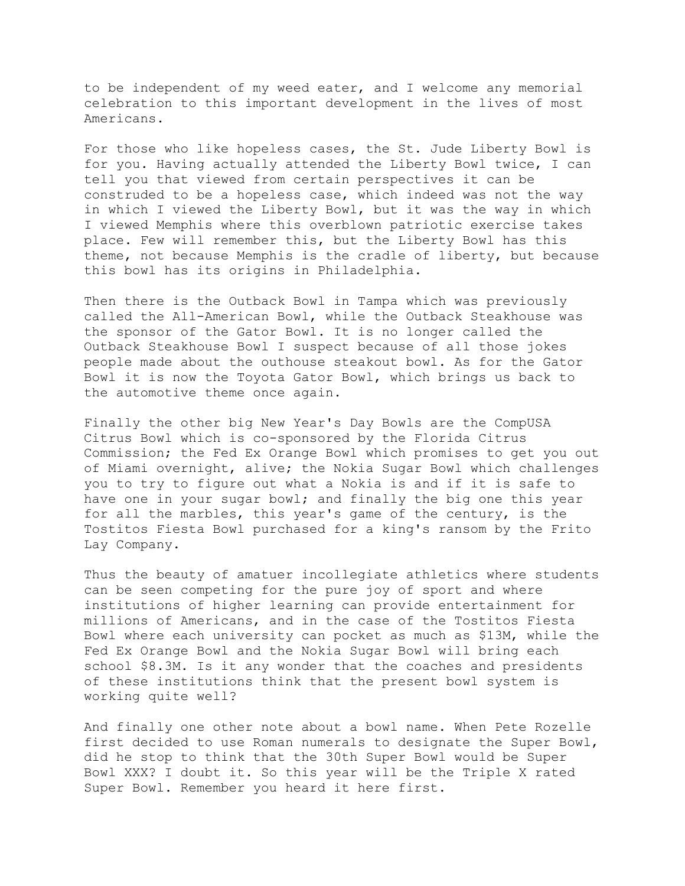to be independent of my weed eater, and I welcome any memorial celebration to this important development in the lives of most Americans.

For those who like hopeless cases, the St. Jude Liberty Bowl is for you. Having actually attended the Liberty Bowl twice, I can tell you that viewed from certain perspectives it can be construded to be a hopeless case, which indeed was not the way in which I viewed the Liberty Bowl, but it was the way in which I viewed Memphis where this overblown patriotic exercise takes place. Few will remember this, but the Liberty Bowl has this theme, not because Memphis is the cradle of liberty, but because this bowl has its origins in Philadelphia.

Then there is the Outback Bowl in Tampa which was previously called the All-American Bowl, while the Outback Steakhouse was the sponsor of the Gator Bowl. It is no longer called the Outback Steakhouse Bowl I suspect because of all those jokes people made about the outhouse steakout bowl. As for the Gator Bowl it is now the Toyota Gator Bowl, which brings us back to the automotive theme once again.

Finally the other big New Year's Day Bowls are the CompUSA Citrus Bowl which is co-sponsored by the Florida Citrus Commission; the Fed Ex Orange Bowl which promises to get you out of Miami overnight, alive; the Nokia Sugar Bowl which challenges you to try to figure out what a Nokia is and if it is safe to have one in your sugar bowl; and finally the big one this year for all the marbles, this year's game of the century, is the Tostitos Fiesta Bowl purchased for a king's ransom by the Frito Lay Company.

Thus the beauty of amatuer incollegiate athletics where students can be seen competing for the pure joy of sport and where institutions of higher learning can provide entertainment for millions of Americans, and in the case of the Tostitos Fiesta Bowl where each university can pocket as much as \$13M, while the Fed Ex Orange Bowl and the Nokia Sugar Bowl will bring each school \$8.3M. Is it any wonder that the coaches and presidents of these institutions think that the present bowl system is working quite well?

And finally one other note about a bowl name. When Pete Rozelle first decided to use Roman numerals to designate the Super Bowl, did he stop to think that the 30th Super Bowl would be Super Bowl XXX? I doubt it. So this year will be the Triple X rated Super Bowl. Remember you heard it here first.